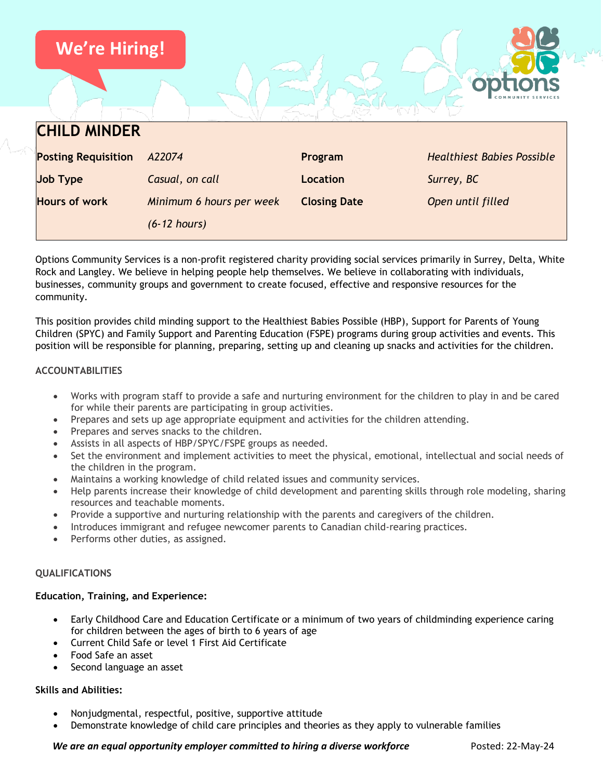

Options Community Services is a non-profit registered charity providing social services primarily in Surrey, Delta, White Rock and Langley. We believe in helping people help themselves. We believe in collaborating with individuals, businesses, community groups and government to create focused, effective and responsive resources for the community.

This position provides child minding support to the Healthiest Babies Possible (HBP), Support for Parents of Young Children (SPYC) and Family Support and Parenting Education (FSPE) programs during group activities and events. This position will be responsible for planning, preparing, setting up and cleaning up snacks and activities for the children.

## **ACCOUNTABILITIES**

- Works with program staff to provide a safe and nurturing environment for the children to play in and be cared for while their parents are participating in group activities.
- Prepares and sets up age appropriate equipment and activities for the children attending.
- Prepares and serves snacks to the children.
- Assists in all aspects of HBP/SPYC/FSPE groups as needed.
- Set the environment and implement activities to meet the physical, emotional, intellectual and social needs of the children in the program.
- Maintains a working knowledge of child related issues and community services.
- Help parents increase their knowledge of child development and parenting skills through role modeling, sharing resources and teachable moments.
- Provide a supportive and nurturing relationship with the parents and caregivers of the children.
- Introduces immigrant and refugee newcomer parents to Canadian child-rearing practices.
- Performs other duties, as assigned.

## **QUALIFICATIONS**

## **Education, Training, and Experience:**

- Early Childhood Care and Education Certificate or a minimum of two years of childminding experience caring for children between the ages of birth to 6 years of age
- Current Child Safe or level 1 First Aid Certificate
- Food Safe an asset
- Second language an asset

## **Skills and Abilities:**

- Nonjudgmental, respectful, positive, supportive attitude
- Demonstrate knowledge of child care principles and theories as they apply to vulnerable families

## *We are an equal opportunity employer committed to hiring a diverse workforce* Posted: 22-May-24